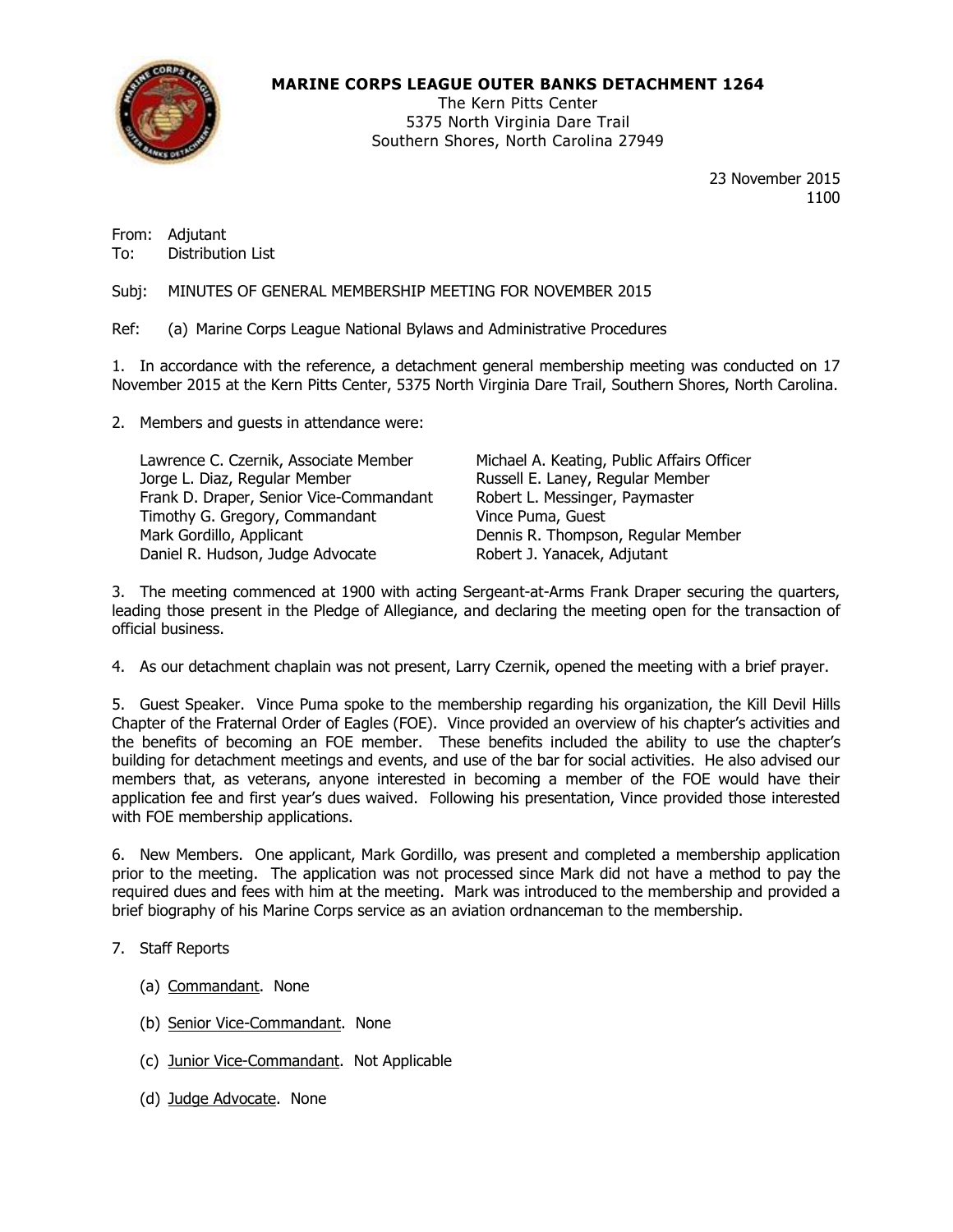

## **MARINE CORPS LEAGUE OUTER BANKS DETACHMENT 1264**

The Kern Pitts Center 5375 North Virginia Dare Trail Southern Shores, North Carolina 27949

> 23 November 2015 1100

From: Adjutant To: Distribution List

Subj: MINUTES OF GENERAL MEMBERSHIP MEETING FOR NOVEMBER 2015

Ref: (a) Marine Corps League National Bylaws and Administrative Procedures

1. In accordance with the reference, a detachment general membership meeting was conducted on 17 November 2015 at the Kern Pitts Center, 5375 North Virginia Dare Trail, Southern Shores, North Carolina.

2. Members and guests in attendance were:

| Lawrence C. Czernik, Associate Member   | Michael A. Keating, Public Affairs Officer |
|-----------------------------------------|--------------------------------------------|
| Jorge L. Diaz, Regular Member           | Russell E. Laney, Regular Member           |
| Frank D. Draper, Senior Vice-Commandant | Robert L. Messinger, Paymaster             |
| Timothy G. Gregory, Commandant          | Vince Puma, Guest                          |
| Mark Gordillo, Applicant                | Dennis R. Thompson, Regular Member         |
| Daniel R. Hudson, Judge Advocate        | Robert J. Yanacek, Adjutant                |

3. The meeting commenced at 1900 with acting Sergeant-at-Arms Frank Draper securing the quarters, leading those present in the Pledge of Allegiance, and declaring the meeting open for the transaction of official business.

4. As our detachment chaplain was not present, Larry Czernik, opened the meeting with a brief prayer.

5. Guest Speaker. Vince Puma spoke to the membership regarding his organization, the Kill Devil Hills Chapter of the Fraternal Order of Eagles (FOE). Vince provided an overview of his chapter's activities and the benefits of becoming an FOE member. These benefits included the ability to use the chapter's building for detachment meetings and events, and use of the bar for social activities. He also advised our members that, as veterans, anyone interested in becoming a member of the FOE would have their application fee and first year's dues waived. Following his presentation, Vince provided those interested with FOE membership applications.

6. New Members. One applicant, Mark Gordillo, was present and completed a membership application prior to the meeting. The application was not processed since Mark did not have a method to pay the required dues and fees with him at the meeting. Mark was introduced to the membership and provided a brief biography of his Marine Corps service as an aviation ordnanceman to the membership.

## 7. Staff Reports

- (a) Commandant. None
- (b) Senior Vice-Commandant. None
- (c) Junior Vice-Commandant. Not Applicable
- (d) Judge Advocate. None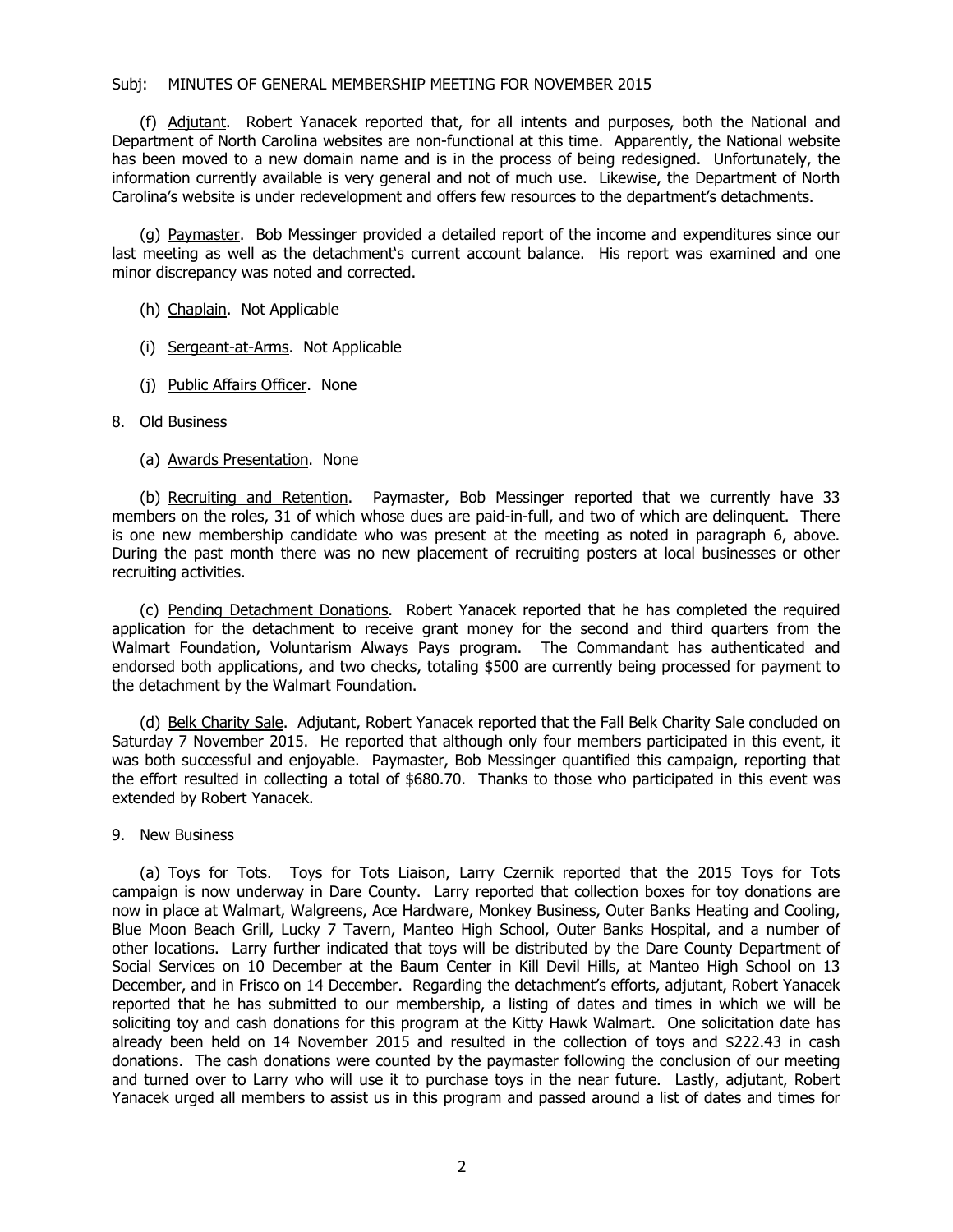### Subj: MINUTES OF GENERAL MEMBERSHIP MEETING FOR NOVEMBER 2015

(f) Adjutant. Robert Yanacek reported that, for all intents and purposes, both the National and Department of North Carolina websites are non-functional at this time. Apparently, the National website has been moved to a new domain name and is in the process of being redesigned. Unfortunately, the information currently available is very general and not of much use. Likewise, the Department of North Carolina's website is under redevelopment and offers few resources to the department's detachments.

(g) Paymaster. Bob Messinger provided a detailed report of the income and expenditures since our last meeting as well as the detachment's current account balance. His report was examined and one minor discrepancy was noted and corrected.

- (h) Chaplain. Not Applicable
- (i) Sergeant-at-Arms. Not Applicable
- (j) Public Affairs Officer. None
- 8. Old Business
	- (a) Awards Presentation. None

(b) Recruiting and Retention. Paymaster, Bob Messinger reported that we currently have 33 members on the roles, 31 of which whose dues are paid-in-full, and two of which are delinquent. There is one new membership candidate who was present at the meeting as noted in paragraph 6, above. During the past month there was no new placement of recruiting posters at local businesses or other recruiting activities.

(c) Pending Detachment Donations. Robert Yanacek reported that he has completed the required application for the detachment to receive grant money for the second and third quarters from the Walmart Foundation, Voluntarism Always Pays program. The Commandant has authenticated and endorsed both applications, and two checks, totaling \$500 are currently being processed for payment to the detachment by the Walmart Foundation.

(d) Belk Charity Sale. Adjutant, Robert Yanacek reported that the Fall Belk Charity Sale concluded on Saturday 7 November 2015. He reported that although only four members participated in this event, it was both successful and enjoyable. Paymaster, Bob Messinger quantified this campaign, reporting that the effort resulted in collecting a total of \$680.70. Thanks to those who participated in this event was extended by Robert Yanacek.

9. New Business

(a) Toys for Tots. Toys for Tots Liaison, Larry Czernik reported that the 2015 Toys for Tots campaign is now underway in Dare County. Larry reported that collection boxes for toy donations are now in place at Walmart, Walgreens, Ace Hardware, Monkey Business, Outer Banks Heating and Cooling, Blue Moon Beach Grill, Lucky 7 Tavern, Manteo High School, Outer Banks Hospital, and a number of other locations. Larry further indicated that toys will be distributed by the Dare County Department of Social Services on 10 December at the Baum Center in Kill Devil Hills, at Manteo High School on 13 December, and in Frisco on 14 December. Regarding the detachment's efforts, adjutant, Robert Yanacek reported that he has submitted to our membership, a listing of dates and times in which we will be soliciting toy and cash donations for this program at the Kitty Hawk Walmart. One solicitation date has already been held on 14 November 2015 and resulted in the collection of toys and \$222.43 in cash donations. The cash donations were counted by the paymaster following the conclusion of our meeting and turned over to Larry who will use it to purchase toys in the near future. Lastly, adjutant, Robert Yanacek urged all members to assist us in this program and passed around a list of dates and times for